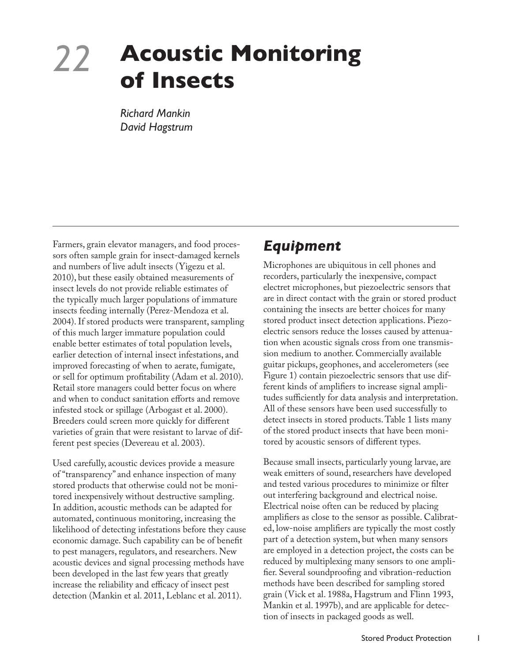# *22* **Acoustic Monitoring of Insects**

*Richard Mankin David Hagstrum*

Farmers, grain elevator managers, and food processors often sample grain for insect-damaged kernels and numbers of live adult insects (Yigezu et al. 2010), but these easily obtained measurements of insect levels do not provide reliable estimates of the typically much larger populations of immature insects feeding internally (Perez-Mendoza et al. 2004). If stored products were transparent, sampling of this much larger immature population could enable better estimates of total population levels, earlier detection of internal insect infestations, and improved forecasting of when to aerate, fumigate, or sell for optimum profitability (Adam et al. 2010). Retail store managers could better focus on where and when to conduct sanitation efforts and remove infested stock or spillage (Arbogast et al. 2000). Breeders could screen more quickly for different varieties of grain that were resistant to larvae of different pest species (Devereau et al. 2003).

Used carefully, acoustic devices provide a measure of "transparency" and enhance inspection of many stored products that otherwise could not be monitored inexpensively without destructive sampling. In addition, acoustic methods can be adapted for automated, continuous monitoring, increasing the likelihood of detecting infestations before they cause economic damage. Such capability can be of benefit to pest managers, regulators, and researchers. New acoustic devices and signal processing methods have been developed in the last few years that greatly increase the reliability and efficacy of insect pest detection (Mankin et al. 2011, Leblanc et al. 2011).

### *Equipment*

Microphones are ubiquitous in cell phones and recorders, particularly the inexpensive, compact electret microphones, but piezoelectric sensors that are in direct contact with the grain or stored product containing the insects are better choices for many stored product insect detection applications. Piezoelectric sensors reduce the losses caused by attenuation when acoustic signals cross from one transmission medium to another. Commercially available guitar pickups, geophones, and accelerometers (see Figure 1) contain piezoelectric sensors that use different kinds of amplifiers to increase signal amplitudes sufficiently for data analysis and interpretation. All of these sensors have been used successfully to detect insects in stored products. Table 1 lists many of the stored product insects that have been monitored by acoustic sensors of different types.

Because small insects, particularly young larvae, are weak emitters of sound, researchers have developed and tested various procedures to minimize or filter out interfering background and electrical noise. Electrical noise often can be reduced by placing amplifiers as close to the sensor as possible. Calibrated, low-noise amplifiers are typically the most costly part of a detection system, but when many sensors are employed in a detection project, the costs can be reduced by multiplexing many sensors to one amplifier. Several soundproofing and vibration-reduction methods have been described for sampling stored grain (Vick et al. 1988a, Hagstrum and Flinn 1993, Mankin et al. 1997b), and are applicable for detection of insects in packaged goods as well.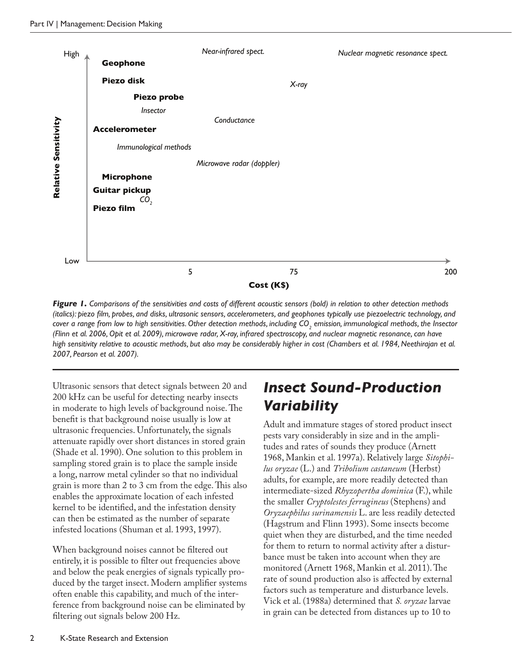

*Figure 1. Comparisons of the sensitivities and costs of different acoustic sensors (bold) in relation to other detection methods (italics): piezo film, probes, and disks, ultrasonic sensors, accelerometers, and geophones typically use piezoelectric technology, and cover a range from low to high sensitivities. Other detection methods, including CO<sup>2</sup> emission, immunological methods, the Insector (Flinn et al. 2006, Opit et al. 2009), microwave radar, X-ray, infrared spectroscopy, and nuclear magnetic resonance, can have*  high sensitivity relative to acoustic methods, but also may be considerably higher in cost (Chambers et al. 1984, Neethirajan et al.

Ultrasonic sensors that detect signals between 20 and 200 kHz can be useful for detecting nearby insects in moderate to high levels of background noise. The benefit is that background noise usually is low at ultrasonic frequencies. Unfortunately, the signals attenuate rapidly over short distances in stored grain (Shade et al. 1990). One solution to this problem in sampling stored grain is to place the sample inside a long, narrow metal cylinder so that no individual grain is more than 2 to 3 cm from the edge. This also enables the approximate location of each infested kernel to be identified, and the infestation density can then be estimated as the number of separate infested locations (Shuman et al. 1993, 1997).

When background noises cannot be filtered out entirely, it is possible to filter out frequencies above and below the peak energies of signals typically produced by the target insect. Modern amplifier systems often enable this capability, and much of the interference from background noise can be eliminated by filtering out signals below 200 Hz.

## *Insect Sound-Production Variability*

Adult and immature stages of stored product insect pests vary considerably in size and in the amplitudes and rates of sounds they produce (Arnett 1968, Mankin et al. 1997a). Relatively large *Sitophilus oryzae* (L.) and *Tribolium castaneum* (Herbst) adults, for example, are more readily detected than intermediate-sized *Rhyzopertha dominica* (F.), while the smaller *Cryptolestes ferrugineus* (Stephens) and *Oryzaephilus surinamensis* L. are less readily detected (Hagstrum and Flinn 1993). Some insects become quiet when they are disturbed, and the time needed for them to return to normal activity after a disturbance must be taken into account when they are monitored (Arnett 1968, Mankin et al. 2011). The rate of sound production also is affected by external factors such as temperature and disturbance levels. Vick et al. (1988a) determined that *S. oryzae* larvae in grain can be detected from distances up to 10 to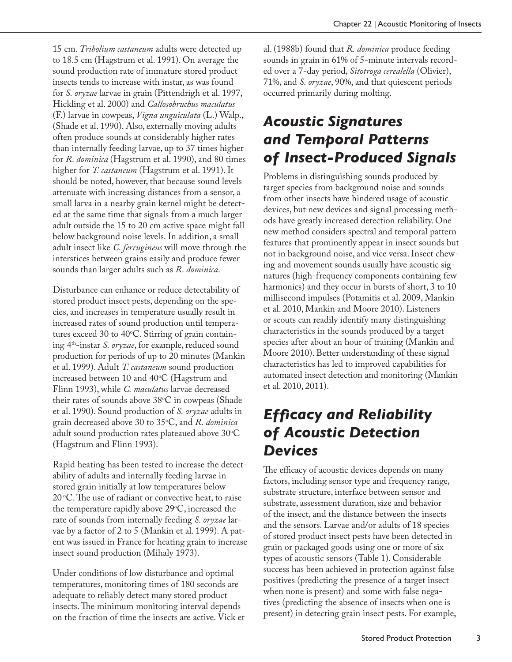15 cm. *Tribolium castaneum* adults were detected up to 18.5 cm (Hagstrum et al. 1991). On average the sound production rate of immature stored product insects tends to increase with instar, as was found for *S. oryzae* larvae in grain (Pittendrigh et al. 1997, Hickling et al. 2000) and *Callosobruchus maculatus*  (F.) larvae in cowpeas, *Vigna unguiculata* (L.) Walp., (Shade et al. 1990). Also, externally moving adults often produce sounds at considerably higher rates than internally feeding larvae, up to 37 times higher for *R. dominica* (Hagstrum et al. 1990), and 80 times higher for *T. castaneum* (Hagstrum et al. 1991). It should be noted, however, that because sound levels attenuate with increasing distances from a sensor, a small larva in a nearby grain kernel might be detected at the same time that signals from a much larger adult outside the 15 to 20 cm active space might fall below background noise levels. In addition, a small adult insect like *C. ferrugineus* will move through the interstices between grains easily and produce fewer sounds than larger adults such as *R. dominica*.

Disturbance can enhance or reduce detectability of stored product insect pests, depending on the species, and increases in temperature usually result in increased rates of sound production until temperatures exceed 30 to 40°C. Stirring of grain containing 4th-instar *S. oryzae*, for example, reduced sound production for periods of up to 20 minutes (Mankin et al. 1999). Adult *T. castaneum* sound production increased between 10 and 40°C (Hagstrum and Flinn 1993), while *C. maculatus* larvae decreased their rates of sounds above 38°C in cowpeas (Shade et al. 1990). Sound production of *S. oryzae* adults in grain decreased above 30 to 35o C, and *R. dominica* adult sound production rates plateaued above 30°C (Hagstrum and Flinn 1993).

Rapid heating has been tested to increase the detectability of adults and internally feeding larvae in stored grain initially at low temperatures below  $20^{\circ}$ C. The use of radiant or convective heat, to raise the temperature rapidly above 29°C, increased the rate of sounds from internally feeding *S. oryzae* larvae by a factor of 2 to 5 (Mankin et al. 1999). A patent was issued in France for heating grain to increase insect sound production (Mihaly 1973).

Under conditions of low disturbance and optimal temperatures, monitoring times of 180 seconds are adequate to reliably detect many stored product insects. The minimum monitoring interval depends on the fraction of time the insects are active. Vick et al. (1988b) found that *R. dominica* produce feeding sounds in grain in 61% of 5-minute intervals recorded over a 7-day period, *Sitotroga cerealella* (Olivier), 71%, and *S. oryzae*, 90%, and that quiescent periods occurred primarily during molting.

## *Acoustic Signatures and Temporal Patterns of Insect-Produced Signals*

Problems in distinguishing sounds produced by target species from background noise and sounds from other insects have hindered usage of acoustic devices, but new devices and signal processing methods have greatly increased detection reliability. One new method considers spectral and temporal pattern features that prominently appear in insect sounds but not in background noise, and vice versa. Insect chewing and movement sounds usually have acoustic signatures (high-frequency components containing few harmonics) and they occur in bursts of short, 3 to 10 millisecond impulses (Potamitis et al. 2009, Mankin et al. 2010, Mankin and Moore 2010). Listeners or scouts can readily identify many distinguishing characteristics in the sounds produced by a target species after about an hour of training (Mankin and Moore 2010). Better understanding of these signal characteristics has led to improved capabilities for automated insect detection and monitoring (Mankin et al. 2010, 2011).

# *Efficacy and Reliability of Acoustic Detection Devices*

The efficacy of acoustic devices depends on many factors, including sensor type and frequency range, substrate structure, interface between sensor and substrate, assessment duration, size and behavior of the insect, and the distance between the insects and the sensors. Larvae and/or adults of 18 species of stored product insect pests have been detected in grain or packaged goods using one or more of six types of acoustic sensors (Table 1). Considerable success has been achieved in protection against false positives (predicting the presence of a target insect when none is present) and some with false negatives (predicting the absence of insects when one is present) in detecting grain insect pests. For example,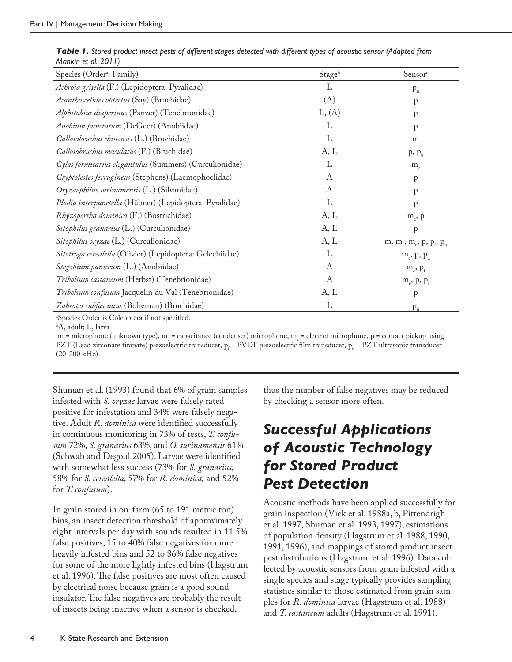| Species (Order <sup>a</sup> : Family)                     | Stageb | Sensor <sup>c</sup>                                                   |
|-----------------------------------------------------------|--------|-----------------------------------------------------------------------|
| Achroia grisella (F.) (Lepidoptera: Pyralidae)            | L      | $P_u$                                                                 |
| Acanthoscelides obtectus (Say) (Bruchidae)                | (A)    | $\mathbf{p}$                                                          |
| Alphitobius diaperinus (Panzer) (Tenebrionidae)           | L, (A) | p                                                                     |
| Anobium punctatum (DeGeer) (Anobiidae)                    | L      | $\mathbf{p}$                                                          |
| Callosobruchus chinensis (L.) (Bruchidae)                 | L      | m                                                                     |
| Callosobruchus maculatus (F.) (Bruchidae)                 | A, L   | $p, p_u$                                                              |
| Cylas formicarius elegantulus (Summers) (Curculionidae)   | L      | $m_c$                                                                 |
| Cryptolestes ferrugineus (Stephens) (Laemophoelidae)      | A      | $\mathbf{p}$                                                          |
| Oryzaephilus surinamensis (L.) (Silvanidae)               | A      | $\mathbf{p}$                                                          |
| Plodia interpunctella (Hübner) (Lepidoptera: Pyralidae)   | L      | $\mathbf{p}$                                                          |
| Rhyzopertha dominica (F.) (Bostrichidae)                  | A, L   | $m_c$ , $p$                                                           |
| Sitophilus granarius (L.) (Curculionidae)                 | A, L   | $\mathbf{p}$                                                          |
| Sitophilus oryzae (L.) (Curculionidae)                    | A, L   | m, m <sub>c</sub> , m <sub>e</sub> , p, p <sub>o</sub> p <sub>u</sub> |
| Sitotroga cerealella (Olivier) (Lepidoptera: Gelechiidae) | L      | $m_e$ , p, $p_u$                                                      |
| Stegobium paniceum (L.) (Anobiidae)                       | A      | $m_e$ , $p_f$                                                         |
| Tribolium castaneum (Herbst) (Tenebrionidae)              | A      | $m_e$ , p, $p_f$                                                      |
| Tribolium confusum Jacquelin du Val (Tenebrionidae)       | A, L   | $\mathbf{p}$                                                          |
| Zabrotes subfasciatus (Boheman) (Bruchidae)               | L      | $P_{\rm u}$                                                           |

|                     |  |  |  |  |  |  |  | Table 1. Stored product insect pests of different stages detected with different types of acoustic sensor (Adapted from |  |
|---------------------|--|--|--|--|--|--|--|-------------------------------------------------------------------------------------------------------------------------|--|
| Mankin et al. 2011) |  |  |  |  |  |  |  |                                                                                                                         |  |

a Species Order is Coleoptera if not specified.

b A, adult; L, larva

 $c_{\text{m}}$  = microphone (unknown type), m<sub>c</sub> = capacitance (condenser) microphone, m<sub>e</sub> = electret microphone, p = contact pickup using PZT (Lead zirconate titanate) piezoelectric transducer,  $p_f$  = PVDF piezoelectric film transducer,  $p_u$  = PZT ultrasonic transducer (20-200 kHz).

Shuman et al. (1993) found that 6% of grain samples infested with *S. oryzae* larvae were falsely rated positive for infestation and 34% were falsely negative. Adult *R. dominica* were identified successfully in continuous monitoring in 73% of tests, *T. confusum* 72%, *S. granarius* 63%, and *O. surinamensis* 61% (Schwab and Degoul 2005). Larvae were identified with somewhat less success (73% for *S. granarius*, 58% for *S. cerealella*, 57% for *R. dominica,* and 52% for *T. confusum*).

In grain stored in on-farm (65 to 191 metric ton) bins, an insect detection threshold of approximately eight intervals per day with sounds resulted in 11.5% false positives, 15 to 40% false negatives for more heavily infested bins and 52 to 86% false negatives for some of the more lightly infested bins (Hagstrum et al. 1996). The false positives are most often caused by electrical noise because grain is a good sound insulator. The false negatives are probably the result of insects being inactive when a sensor is checked,

thus the number of false negatives may be reduced by checking a sensor more often.

# *Successful Applications of Acoustic Technology for Stored Product Pest Detection*

Acoustic methods have been applied successfully for grain inspection (Vick et al. 1988a, b, Pittendrigh et al. 1997, Shuman et al. 1993, 1997), estimations of population density (Hagstrum et al. 1988, 1990, 1991, 1996), and mappings of stored product insect pest distributions (Hagstrum et al. 1996). Data collected by acoustic sensors from grain infested with a single species and stage typically provides sampling statistics similar to those estimated from grain samples for *R. dominica* larvae (Hagstrum et al. 1988) and *T. castaneum* adults (Hagstrum et al. 1991).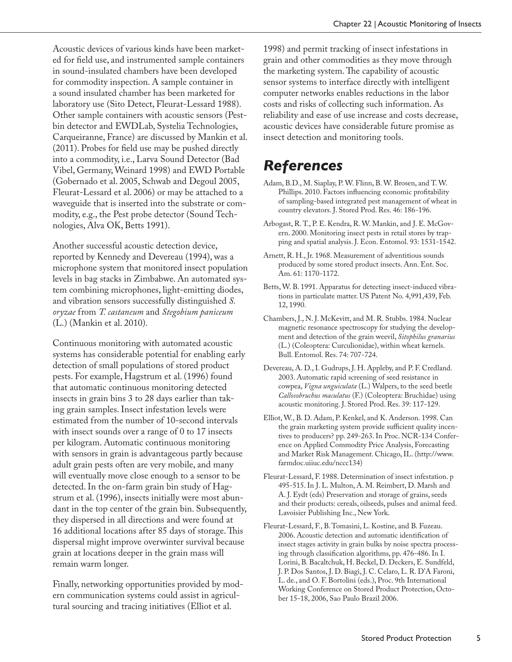Acoustic devices of various kinds have been marketed for field use, and instrumented sample containers in sound-insulated chambers have been developed for commodity inspection. A sample container in a sound insulated chamber has been marketed for laboratory use (Sito Detect, Fleurat-Lessard 1988). Other sample containers with acoustic sensors (Pestbin detector and EWDLab, Systelia Technologies, Carqueiranne, France) are discussed by Mankin et al. (2011). Probes for field use may be pushed directly into a commodity, i.e., Larva Sound Detector (Bad Vibel, Germany, Weinard 1998) and EWD Portable (Gobernado et al. 2005, Schwab and Degoul 2005, Fleurat-Lessard et al. 2006) or may be attached to a waveguide that is inserted into the substrate or commodity, e.g., the Pest probe detector (Sound Technologies, Alva OK, Betts 1991).

Another successful acoustic detection device, reported by Kennedy and Devereau (1994), was a microphone system that monitored insect population levels in bag stacks in Zimbabwe. An automated system combining microphones, light-emitting diodes, and vibration sensors successfully distinguished *S. oryzae* from *T. castaneum* and *Stegobium paniceum* (L.) (Mankin et al. 2010).

Continuous monitoring with automated acoustic systems has considerable potential for enabling early detection of small populations of stored product pests. For example, Hagstrum et al. (1996) found that automatic continuous monitoring detected insects in grain bins 3 to 28 days earlier than taking grain samples. Insect infestation levels were estimated from the number of 10-second intervals with insect sounds over a range of 0 to 17 insects per kilogram. Automatic continuous monitoring with sensors in grain is advantageous partly because adult grain pests often are very mobile, and many will eventually move close enough to a sensor to be detected. In the on-farm grain bin study of Hagstrum et al. (1996), insects initially were most abundant in the top center of the grain bin. Subsequently, they dispersed in all directions and were found at 16 additional locations after 85 days of storage. This dispersal might improve overwinter survival because grain at locations deeper in the grain mass will remain warm longer.

Finally, networking opportunities provided by modern communication systems could assist in agricultural sourcing and tracing initiatives (Elliot et al.

1998) and permit tracking of insect infestations in grain and other commodities as they move through the marketing system. The capability of acoustic sensor systems to interface directly with intelligent computer networks enables reductions in the labor costs and risks of collecting such information. As reliability and ease of use increase and costs decrease, acoustic devices have considerable future promise as insect detection and monitoring tools.

### *References*

- Adam, B.D., M. Siaplay, P. W. Flinn, B. W. Brosen, and T. W. Phillips. 2010. Factors influencing economic profitability of sampling-based integrated pest management of wheat in country elevators. J. Stored Prod. Res. 46: 186-196.
- Arbogast, R. T., P. E. Kendra, R. W. Mankin, and J. E. McGovern. 2000. Monitoring insect pests in retail stores by trapping and spatial analysis. J. Econ. Entomol. 93: 1531-1542.
- Arnett, R. H., Jr. 1968. Measurement of adventitious sounds produced by some stored product insects. Ann. Ent. Soc. Am. 61: 1170-1172.
- Betts, W. B. 1991. Apparatus for detecting insect-induced vibrations in particulate matter. US Patent No. 4,991,439, Feb. 12, 1990.
- Chambers, J., N. J. McKevitt, and M. R. Stubbs. 1984. Nuclear magnetic resonance spectroscopy for studying the development and detection of the grain weevil, *Sitophilus granarius* (L.) (Coleoptera: Curculionidae), within wheat kernels. Bull. Entomol. Res. 74: 707-724.
- Devereau, A. D., I. Gudrups, J. H. Appleby, and P. F. Credland. 2003. Automatic rapid screening of seed resistance in cowpea, *Vigna unguiculata* (L.) Walpers, to the seed beetle *Callosobruchus maculatus* (F.) (Coleoptera: Bruchidae) using acoustic monitoring. J. Stored Prod. Res. 39: 117-129.
- Elliot, W., B. D. Adam, P. Kenkel, and K. Anderson. 1998. Can the grain marketing system provide sufficient quality incentives to producers? pp. 249-263. In Proc. NCR-134 Conference on Applied Commodity Price Analysis, Forecasting and Market Risk Management. Chicago, IL. (http://www. farmdoc.uiiuc.edu/nccc134)
- Fleurat-Lessard, F. 1988. Determination of insect infestation. p 495-515. In J. L. Multon, A. M. Reimbert, D. Marsh and A. J. Eydt (eds) Preservation and storage of grains, seeds and their products: cereals, oilseeds, pulses and animal feed. Lavoisier Publishing Inc., New York.
- Fleurat-Lessard, F., B. Tomasini, L. Kostine, and B. Fuzeau. 2006. Acoustic detection and automatic identification of insect stages activity in grain bulks by noise spectra processing through classification algorithms, pp. 476-486. In I. Lorini, B. Bacaltchuk, H. Beckel, D. Deckers, E. Sundfeld, J. P. Dos Santos, J. D. Biagi, J. C. Celaro, L. R. D'A Faroni, L. de., and O. F. Bortolini (eds.), Proc. 9th International Working Conference on Stored Product Protection, October 15-18, 2006, Sao Paulo Brazil 2006.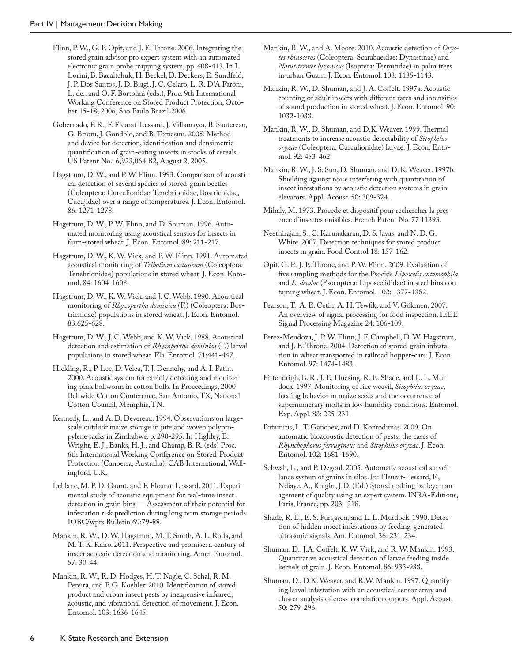Flinn, P. W., G. P. Opit, and J. E. Throne. 2006. Integrating the stored grain advisor pro expert system with an automated electronic grain probe trapping system, pp. 408-413. In I. Lorini, B. Bacaltchuk, H. Beckel, D. Deckers, E. Sundfeld, J. P. Dos Santos, J. D. Biagi, J. C. Celaro, L. R. D'A Faroni, L. de., and O. F. Bortolini (eds.), Proc. 9th International Working Conference on Stored Product Protection, October 15-18, 2006, Sao Paulo Brazil 2006.

Gobernado, P. R., F. Fleurat-Lessard, J. Villamayor, B. Sautereau, G. Brioni, J. Gondolo, and B. Tomasini. 2005. Method and device for detection, identification and densimetric quantification of grain-eating insects in stocks of cereals. US Patent No.: 6,923,064 B2, August 2, 2005.

Hagstrum, D. W., and P. W. Flinn. 1993. Comparison of acoustical detection of several species of stored-grain beetles (Coleoptera: Curculionidae, Tenebrionidae, Bostrichidae, Cucujidae) over a range of temperatures. J. Econ. Entomol. 86: 1271-1278.

Hagstrum, D. W., P. W. Flinn, and D. Shuman. 1996. Automated monitoring using acoustical sensors for insects in farm-stored wheat. J. Econ. Entomol. 89: 211-217.

Hagstrum, D. W., K. W. Vick, and P. W. Flinn. 1991. Automated acoustical monitoring of *Tribolium castaneum* (Coleoptera: Tenebrionidae) populations in stored wheat. J. Econ. Entomol. 84: 1604-1608.

Hagstrum, D. W., K. W. Vick, and J. C. Webb. 1990. Acoustical monitoring of *Rhyzopertha dominica* (F.) (Coleoptera: Bostrichidae) populations in stored wheat. J. Econ. Entomol. 83:625-628.

Hagstrum, D. W., J. C. Webb, and K. W. Vick. 1988. Acoustical detection and estimation of *Rhyzopertha dominica* (F.) larval populations in stored wheat. Fla. Entomol. 71:441-447.

Hickling, R., P. Lee, D. Velea, T. J. Dennehy, and A. I. Patin. 2000. Acoustic system for rapidly detecting and monitoring pink bollworm in cotton bolls. In Proceedings, 2000 Beltwide Cotton Conference, San Antonio, TX, National Cotton Council, Memphis, TN.

Kennedy, L., and A. D. Devereau. 1994. Observations on largescale outdoor maize storage in jute and woven polypropylene sacks in Zimbabwe. p. 290-295. In Highley, E., Wright, E. J., Banks, H. J., and Champ, B. R. (eds) Proc. 6th International Working Conference on Stored-Product Protection (Canberra, Australia). CAB International, Wallingford, U.K.

Leblanc, M. P. D. Gaunt, and F. Fleurat-Lessard. 2011. Experimental study of acoustic equipment for real-time insect detection in grain bins — Assessment of their potential for infestation risk prediction during long term storage periods. IOBC/wprs Bulletin 69:79-88.

Mankin, R. W., D. W. Hagstrum, M. T. Smith, A. L. Roda, and M. T. K. Kairo. 2011. Perspective and promise: a century of insect acoustic detection and monitoring. Amer. Entomol. 57: 30-44.

Mankin, R. W., R. D. Hodges, H. T. Nagle, C. Schal, R. M. Pereira, and P. G. Koehler. 2010. Identification of stored product and urban insect pests by inexpensive infrared, acoustic, and vibrational detection of movement. J. Econ. Entomol. 103: 1636-1645.

Mankin, R. W., and A. Moore. 2010. Acoustic detection of *Oryctes rhinoceros* (Coleoptera: Scarabaeidae: Dynastinae) and *Nasutitermes luzonicus* (Isoptera: Termitidae) in palm trees in urban Guam. J. Econ. Entomol. 103: 1135-1143.

Mankin, R. W., D. Shuman, and J. A. Coffelt. 1997a. Acoustic counting of adult insects with different rates and intensities of sound production in stored wheat. J. Econ. Entomol. 90: 1032-1038.

Mankin, R. W., D. Shuman, and D.K. Weaver. 1999. Thermal treatments to increase acoustic detectability of *Sitophilus oryzae* (Coleoptera: Curculionidae) larvae. J. Econ. Entomol. 92: 453-462.

Mankin, R. W., J. S. Sun, D. Shuman, and D. K. Weaver. 1997b. Shielding against noise interfering with quantitation of insect infestations by acoustic detection systems in grain elevators. Appl. Acoust. 50: 309-324.

Mihaly, M. 1973. Procede et dispositif pour rechercher la presence d'insectes nuisibles. French Patent No. 77 11393.

Neethirajan, S., C. Karunakaran, D. S. Jayas, and N. D. G. White. 2007. Detection techniques for stored product insects in grain. Food Control 18: 157-162.

Opit, G. P., J. E. Throne, and P. W. Flinn. 2009. Evaluation of five sampling methods for the Psocids *Liposcelis entomophila* and *L. decolor* (Psocoptera: Liposcelididae) in steel bins containing wheat. J. Econ. Entomol. 102: 1377-1382.

Pearson, T., A. E. Cetin, A. H. Tewfik, and V. Gökmen. 2007. An overview of signal processing for food inspection. IEEE Signal Processing Magazine 24: 106-109.

Perez-Mendoza, J. P. W. Flinn, J. F. Campbell, D. W. Hagstrum, and J. E. Throne. 2004. Detection of stored-grain infestation in wheat transported in railroad hopper-cars. J. Econ. Entomol. 97: 1474-1483.

Pittendrigh, B. R., J. E. Huesing, R. E. Shade, and L. L. Murdock. 1997. Monitoring of rice weevil, *Sitophilus oryzae*, feeding behavior in maize seeds and the occurrence of supernumerary molts in low humidity conditions. Entomol. Exp. Appl. 83: 225-231.

Potamitis, I., T. Ganchev, and D. Kontodimas. 2009. On automatic bioacoustic detection of pests: the cases of *Rhynchophorus ferrugineus* and *Sitophilus oryzae*. J. Econ. Entomol. 102: 1681-1690.

Schwab, L., and P. Degoul. 2005. Automatic acoustical surveillance system of grains in silos. In: Fleurat-Lessard, F., Ndiaye, A., Knight, J.D. (Ed.) Stored malting barley: management of quality using an expert system. INRA-Editions, Paris, France, pp. 203- 218.

Shade, R. E., E. S. Furgason, and L. L. Murdock. 1990. Detection of hidden insect infestations by feeding-generated ultrasonic signals. Am. Entomol. 36: 231-234.

Shuman, D., J.A. Coffelt, K. W. Vick, and R. W. Mankin. 1993. Quantitative acoustical detection of larvae feeding inside kernels of grain. J. Econ. Entomol. 86: 933-938.

Shuman, D., D.K. Weaver, and R.W. Mankin. 1997. Quantifying larval infestation with an acoustical sensor array and cluster analysis of cross-correlation outputs. Appl. Acoust. 50: 279-296.